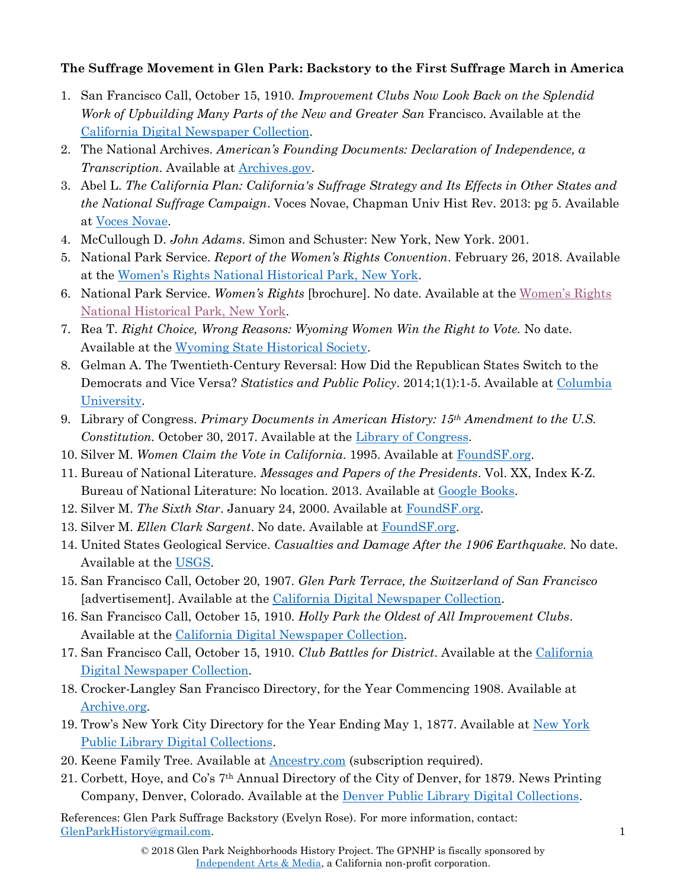## **The Suffrage Movement in Glen Park: Backstory to the First Suffrage March in America**

- 1. San Francisco Call, October 15, 1910. *Improvement Clubs Now Look Back on the Splendid Work of Upbuilding Many Parts of the New and Greater San Francisco. Available at the* [California Digital Newspaper Collection.](https://cdnc.ucr.edu/cgi-bin/cdnc?a=d&d=SFC19101015&e=-------en--20--1--txt-txIN--------1)
- 2. The National Archives. *American's Founding Documents: Declaration of Independence, a Transcription*. Available at [Archives.gov.](https://www.archives.gov/founding-docs/declaration-transcript)
- 3. Abel L. *The California Plan: California's Suffrage Strategy and Its Effects in Other States and the National Suffrage Campaign*. Voces Novae, Chapman Univ Hist Rev. 2013: pg 5. Available at [Voces Novae.](http://journals.chapman.edu/ojs/index.php/VocesNovae/article/view/636/887)
- 4. McCullough D. *John Adams*. Simon and Schuster: New York, New York. 2001.
- 5. National Park Service. *Report of the Women's Rights Convention*. February 26, 2018. Available at the [Women's Rights National Historical Park, New York](https://www.nps.gov/wori/learn/historyculture/report-of-the-womans-rights-convention.htm).
- 6. National Park Service. *Women's Rights* [brochure]. No date. Available at the Women['s Rights](https://www.nps.gov/wori/planyourvisit/upload/Brochure-Reduced-size.pdf)  [National Historical Park, New York.](https://www.nps.gov/wori/planyourvisit/upload/Brochure-Reduced-size.pdf)
- 7. Rea T. *Right Choice, Wrong Reasons: Wyoming Women Win the Right to Vote.* No date. Available at the [Wyoming State Historical Society.](https://www.wyohistory.org/encyclopedia/right-choice-wrong-reasons-wyoming-women-win-right-vote)
- 8. Gelman A. The Twentieth-Century Reversal: How Did the Republican States Switch to the Democrats and Vice Versa? *Statistics and Public Policy*. 2014;1(1):1-5. Available at [Columbia](http://www.stat.columbia.edu/~gelman/research/published/reversal2.pdf)  [University.](http://www.stat.columbia.edu/~gelman/research/published/reversal2.pdf)
- 9. Library of Congress. *Primary Documents in American History: 15th Amendment to the U.S. Constitution.* October 30, 2017. Available at the [Library of Congress.](https://www.loc.gov/rr/program/bib/ourdocs/15thamendment.html)
- 10. Silver M. *Women Claim the Vote in California*. 1995. Available at [FoundSF.org.](http://www.foundsf.org/index.php?title=WOMEN_CLAIM_THE_VOTE_IN_CALIFORNIA)
- 11. Bureau of National Literature. *Messages and Papers of the Presidents*. Vol. XX, Index K-Z. Bureau of National Literature: No location. 2013. Available at [Google Books.](https://books.google.com/books?id=BAtOAQAAMAAJ&printsec=frontcover#v=onepage&q&f=false)
- 12. Silver M. *The Sixth Star*. January 24, 2000. Available at [FoundSF.org.](http://www.foundsf.org/index.php?title=The_Sixth_Star)
- 13. Silver M. *Ellen Clark Sargent*. No date. Available at [FoundSF.org.](http://www.foundsf.org/index.php?title=Ellen_Clark_Sargent)
- 14. United States Geological Service. *Casualties and Damage After the 1906 Earthquake.* No date. Available at the [USGS.](https://earthquake.usgs.gov/earthquakes/events/1906calif/18april/casualties.php)
- 15. San Francisco Call, October 20, 1907. *Glen Park Terrace, the Switzerland of San Francisco* [advertisement]. Available at the [California Digital Newspaper Collection.](https://cdnc.ucr.edu/cgi-bin/cdnc?a=d&d=SFC19071020&e=-------en--20--1--txt-txIN--------1)
- 16. San Francisco Call, October 15, 1910. *Holly Park the Oldest of All Improvement Clubs*. Available at the [California Digital Newspaper Collection.](https://cdnc.ucr.edu/cgi-bin/cdnc?a=d&d=SFC19101015&e=-------en--20--1--txt-txIN--------1)
- 17. San Francisco Call, October 15, 1910. *Club Battles for District*. Available at the [California](https://cdnc.ucr.edu/cgi-bin/cdnc?a=d&d=SFC19101015&e=-------en--20--1--txt-txIN--------1)  [Digital Newspaper Collection.](https://cdnc.ucr.edu/cgi-bin/cdnc?a=d&d=SFC19101015&e=-------en--20--1--txt-txIN--------1)
- 18. Crocker-Langley San Francisco Directory, for the Year Commencing 1908. Available at [Archive.org.](https://archive.org/stream/crockerlangleysa1908sanfrich#page/n0/mode/2up)
- 19. Trow's [New York](https://digitalcollections.nypl.org/items/e71de230-5e73-0134-0c23-00505686a51c/book#page/13/mode/2up) City Directory for the Year Ending May 1, 1877. Available at New York [Public Library Digital Collections.](https://digitalcollections.nypl.org/items/e71de230-5e73-0134-0c23-00505686a51c/book#page/13/mode/2up)
- 20. Keene Family Tree. Available at **Ancestry.com** (subscription required).
- 21. Corbett, Hoye, and Co's 7th Annual Directory of the City of Denver, for 1879. News Printing Company, Denver, Colorado. Available at the [Denver Public Library Digital Collections.](http://digital.denverlibrary.org/cdm/ref/collection/p16079coll28/id/8646)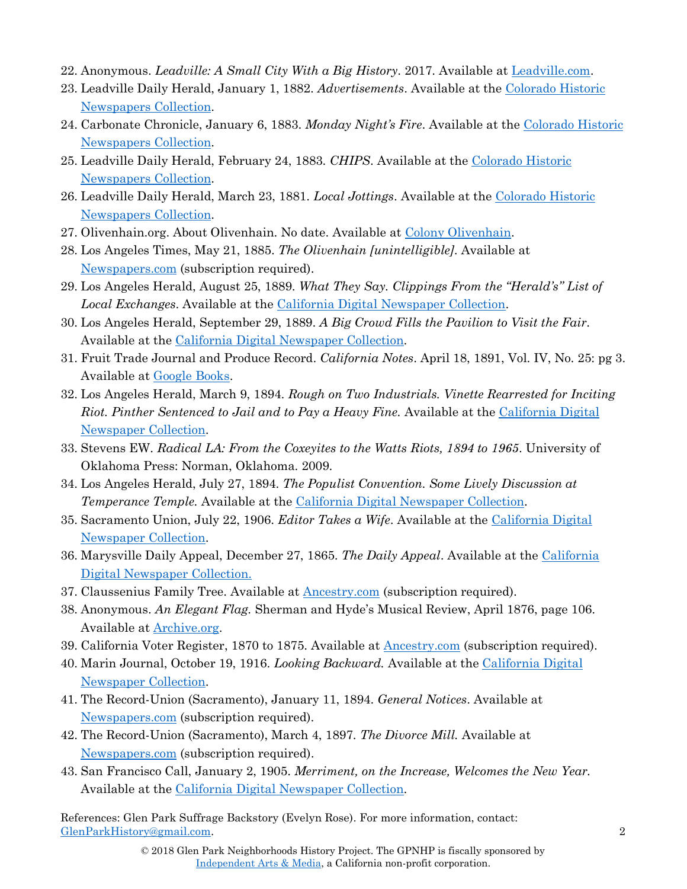- 22. Anonymous. *Leadville: A Small City With a Big History*. 2017. Available at [Leadville.com.](https://leadville.com/leadville-a-small-city-with-a-big-history/)
- 23. Leadville Daily Herald, January 1, 1882. *Advertisements*. Available at the [Colorado Historic](https://www.coloradohistoricnewspapers.org/cgi-bin/colorado?a=d&d=LDH18820101&e=-------en-20--61--txt-txIN-pinther-------0-)  [Newspapers Collection.](https://www.coloradohistoricnewspapers.org/cgi-bin/colorado?a=d&d=LDH18820101&e=-------en-20--61--txt-txIN-pinther-------0-)
- 24. Carbonate Chronicle, January 6, 1883. *Monday Night's Fire*. Available at the [Colorado Historic](https://www.coloradohistoricnewspapers.org/cgi-bin/colorado?a=d&d=CCL18830106-01&e=-------en-20--61--txt-txIN-pinther-------0-)  [Newspapers Collection.](https://www.coloradohistoricnewspapers.org/cgi-bin/colorado?a=d&d=CCL18830106-01&e=-------en-20--61--txt-txIN-pinther-------0-)
- 25. Leadville Daily Herald, February 24, 1883. *CHIPS*. Available at the [Colorado Historic](https://www.coloradohistoricnewspapers.org/cgi-bin/colorado?a=d&d=LDH18830224&e=-------en-20--61--txt-txIN-pinther-------0-)  [Newspapers Collection.](https://www.coloradohistoricnewspapers.org/cgi-bin/colorado?a=d&d=LDH18830224&e=-------en-20--61--txt-txIN-pinther-------0-)
- 26. Leadville Daily Herald, March 23, 1881. *Local Jottings*. Available at the [Colorado Historic](https://www.coloradohistoricnewspapers.org/cgi-bin/colorado?a=d&d=LDH18810323&e=-------en-20--61--txt-txIN-pinther-------0-)  [Newspapers Collection.](https://www.coloradohistoricnewspapers.org/cgi-bin/colorado?a=d&d=LDH18810323&e=-------en-20--61--txt-txIN-pinther-------0-)
- 27. Olivenhain.org. About Olivenhain. No date. Available at [Colony Olivenhain.](https://www.olivenhain.org/history/)
- 28. Los Angeles Times, May 21, 1885. *The Olivenhain [unintelligible]*. Available at [Newspapers.com](http://www.newspapers.com/) (subscription required).
- 29. Los Angeles Herald, August 25, 1889. *What They Say. Clippings From the "Herald's" List of Local Exchanges*. Available at the [California Digital Newspaper Collection.](https://cdnc.ucr.edu/cgi-bin/cdnc?a=d&d=LAH18890825&e=------188-en--20--1--txt-txIN--------1)
- 30. Los Angeles Herald, September 29, 1889. *A Big Crowd Fills the Pavilion to Visit the Fair.* Available at the [California Digital Newspaper Collection.](https://cdnc.ucr.edu/cgi-bin/cdnc?a=d&d=LAH18890929&e=------188-en--20-LAH-1--txt-txIN)
- 31. Fruit Trade Journal and Produce Record. *California Notes*. April 18, 1891, Vol. IV, No. 25: pg 3. Available at [Google Books.](https://books.google.com/books?id=reZKAQAAMAAJ&pg=RA55-PA3&lpg=RA55-PA3&dq=pinther+%22fruit+trade+journal%22&source=bl&ots=YL40GSVfjX&sig=IGvKhvtmo41vCXJ6hqxZws1MHOM&hl=en&sa=X&ved=0ahUKEwj5i4ql_cHYAhWC5IMKHR-ICwgQ6AEIKTAA#v=onepage&q=pinther%20%22fruit%20trade%20journal%22&f=false)
- 32. Los Angeles Herald, March 9, 1894. *Rough on Two Industrials. Vinette Rearrested for Inciting Riot. Pinther Sentenced to Jail and to Pay a Heavy Fine.* Available at the California Digital [Newspaper Collection.](https://cdnc.ucr.edu/cgi-bin/cdnc?a=d&d=LAH18940509&e=-------en--20-LAH-1--txt-txIN--------1)
- 33. Stevens EW. *Radical LA: From the Coxeyites to the Watts Riots, 1894 to 1965*. University of Oklahoma Press: Norman, Oklahoma. 2009.
- 34. Los Angeles Herald, July 27, 1894. *The Populist Convention. Some Lively Discussion at Temperance Temple.* Available at the [California Digital Newspaper Collection.](https://cdnc.ucr.edu/cgi-bin/cdnc?a=d&d=LAH18940727&e=-------en--20--1--txt-txIN)
- 35. Sacramento Union, July 22, 1906. *Editor Takes a Wife*. Available at the [California Digital](https://cdnc.ucr.edu/cgi-bin/cdnc?a=d&d=SU19060722&e=-------en--20--1--txt-txIN--------1)  [Newspaper Collection.](https://cdnc.ucr.edu/cgi-bin/cdnc?a=d&d=SU19060722&e=-------en--20--1--txt-txIN--------1)
- 36. Marysville Daily Appeal, December 27, 1865. *The Daily Appeal*. Available at the [California](https://cdnc.ucr.edu/cgi-bin/cdnc?a=d&d=MDA18651227&e=-------en--20--1--txt-txIN--------1)  [Digital Newspaper Collection.](https://cdnc.ucr.edu/cgi-bin/cdnc?a=d&d=MDA18651227&e=-------en--20--1--txt-txIN--------1)
- 37. Claussenius Family Tree. Available at [Ancestry.com](http://www.ancestry.com/) (subscription required).
- 38. Anonymous. *An Elegant Flag.* Sherman and Hyde's Musical Review, April 1876, page 106. Available at [Archive.org.](https://archive.org/stream/shermanhydesmusi31876sanf#page/106/mode/2up/search/koerner)
- 39. California Voter Register, 1870 to 1875. Available at **Ancestry.com** (subscription required).
- 40. Marin Journal, October 19, 1916. *Looking Backward.* Available at the [California Digital](https://cdnc.ucr.edu/cgi-bin/cdnc?a=d&d=MJ19161019&e=-------en--20--1--txt-txIN--------1)  [Newspaper Collection.](https://cdnc.ucr.edu/cgi-bin/cdnc?a=d&d=MJ19161019&e=-------en--20--1--txt-txIN--------1)
- 41. The Record-Union (Sacramento), January 11, 1894. *General Notices*. Available at [Newspapers.com](http://www.newspapers.com/) (subscription required).
- 42. The Record-Union (Sacramento), March 4, 1897. *The Divorce Mill.* Available at [Newspapers.com](http://www.newspapers.com/) (subscription required).
- 43. San Francisco Call, January 2, 1905. *Merriment, on the Increase, Welcomes the New Year.* Available at the [California Digital Newspaper Collection.](https://cdnc.ucr.edu/cgi-bin/cdnc?a=d&d=SFC19050102&e=-------en--20--1--txt-txIN--------1)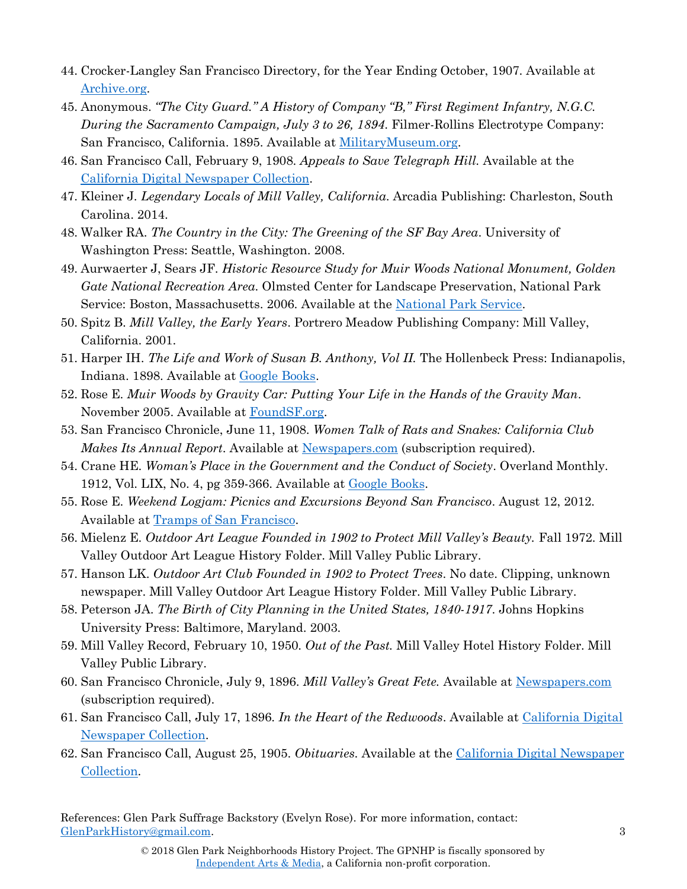- 44. Crocker-Langley San Francisco Directory, for the Year Ending October, 1907. Available at [Archive.org.](https://archive.org/details/crockerlangleysa1907sanfrich)
- 45. Anonymous. *"The City Guard." A History of Company "B," First Regiment Infantry, N.G.C. During the Sacramento Campaign, July 3 to 26, 1894*. Filmer-Rollins Electrotype Company: San Francisco, California. 1895. Available at [MilitaryMuseum.org.](http://www.militarymuseum.org/cityguardhistor00cali.pdf$.pdf)
- 46. San Francisco Call, February 9, 1908. *Appeals to Save Telegraph Hill.* Available at the [California Digital Newspaper Collection.](https://cdnc.ucr.edu/cgi-bin/cdnc?a=d&d=SFC19080209&e=-------en--20--1--txt-txIN--------1)
- 47. Kleiner J. *Legendary Locals of Mill Valley, California*. Arcadia Publishing: Charleston, South Carolina. 2014.
- 48. Walker RA. *The Country in the City: The Greening of the SF Bay Area*. University of Washington Press: Seattle, Washington. 2008.
- 49. Aurwaerter J, Sears JF. *Historic Resource Study for Muir Woods National Monument, Golden Gate National Recreation Area.* Olmsted Center for Landscape Preservation, National Park Service: Boston, Massachusetts. 2006. Available at the [National Park Service.](https://www.nps.gov/muwo/learn/historyculture/upload/muwo-hsr2006.pdf)
- 50. Spitz B. *Mill Valley, the Early Years*. Portrero Meadow Publishing Company: Mill Valley, California. 2001.
- 51. Harper IH. *The Life and Work of Susan B. Anthony, Vol II.* The Hollenbeck Press: Indianapolis, Indiana. 1898. Available at [Google Books.](https://books.google.com/books?id=NfYbAQAAMAAJ&printsec=frontcover&source=gbs_ge_summary_r&cad=0#v=onepage&q&f=false)
- 52. Rose E. *Muir Woods by Gravity Car: Putting Your Life in the Hands of the Gravity Man*. November 2005. Available at [FoundSF.org.](http://www.foundsf.org/index.php?title=Muir_Woods_by_Gravity_Car)
- 53. San Francisco Chronicle, June 11, 1908. *Women Talk of Rats and Snakes: California Club Makes Its Annual Report*. Available at [Newspapers.com](http://www.newspapers.com/) (subscription required).
- 54. Crane HE. *Woman's Place in the Government and the Conduct of Society*. Overland Monthly. 1912, Vol. LIX, No. 4, pg 359-366. Available at [Google Books.](https://books.google.com/books?id=_Gs-AQAAMAAJ&pg=PA359&lpg=PA359&dq=Woman%E2%80%99s+Place+in+the+Government+and+the+Conduct+of+Society&source=bl&ots=L5hnAIHid7&sig=Q_0KCzKbV4DcI3Eh2uN_K7uKijE&hl=en&sa=X&ved=0ahUKEwj_lOmw5bTYAhVniFQKHWhwCfgQ6AEIKTAA#v=onepage&q&f=false)
- 55. Rose E. *Weekend Logjam: Picnics and Excursions Beyond San Francisco*. August 12, 2012. Available at [Tramps of San Francisco.](http://www.trampsofsanfrancisco.com/sunday-picnic-excursions-san-francisco/)
- 56. Mielenz E. *Outdoor Art League Founded in 1902 to Protect Mill Valley's Beauty.* Fall 1972. Mill Valley Outdoor Art League History Folder. Mill Valley Public Library.
- 57. Hanson LK. *Outdoor Art Club Founded in 1902 to Protect Trees*. No date. Clipping, unknown newspaper. Mill Valley Outdoor Art League History Folder. Mill Valley Public Library.
- 58. Peterson JA. *The Birth of City Planning in the United States, 1840-1917*. Johns Hopkins University Press: Baltimore, Maryland. 2003.
- 59. Mill Valley Record, February 10, 1950. *Out of the Past.* Mill Valley Hotel History Folder. Mill Valley Public Library.
- 60. San Francisco Chronicle, July 9, 1896. *Mill Valley's Great Fete.* Available at [Newspapers.com](http://www.newspapers.com/) (subscription required).
- 61. San Francisco Call, July 17, 1896. *In the Heart of the Redwoods*. Available at [California Digital](https://cdnc.ucr.edu/cgi-bin/cdnc?a=d&d=SFC18960717&e=-------en--20--1--txt-txIN--------1)  [Newspaper Collection.](https://cdnc.ucr.edu/cgi-bin/cdnc?a=d&d=SFC18960717&e=-------en--20--1--txt-txIN--------1)
- 62. San Francisco Call, August 25, 1905. *Obituaries*. Available at the [California Digital Newspaper](https://cdnc.ucr.edu/cgi-bin/cdnc?a=d&d=SFC19050825&e=-------en--20--1--txt-txIN--------1)  [Collection.](https://cdnc.ucr.edu/cgi-bin/cdnc?a=d&d=SFC19050825&e=-------en--20--1--txt-txIN--------1)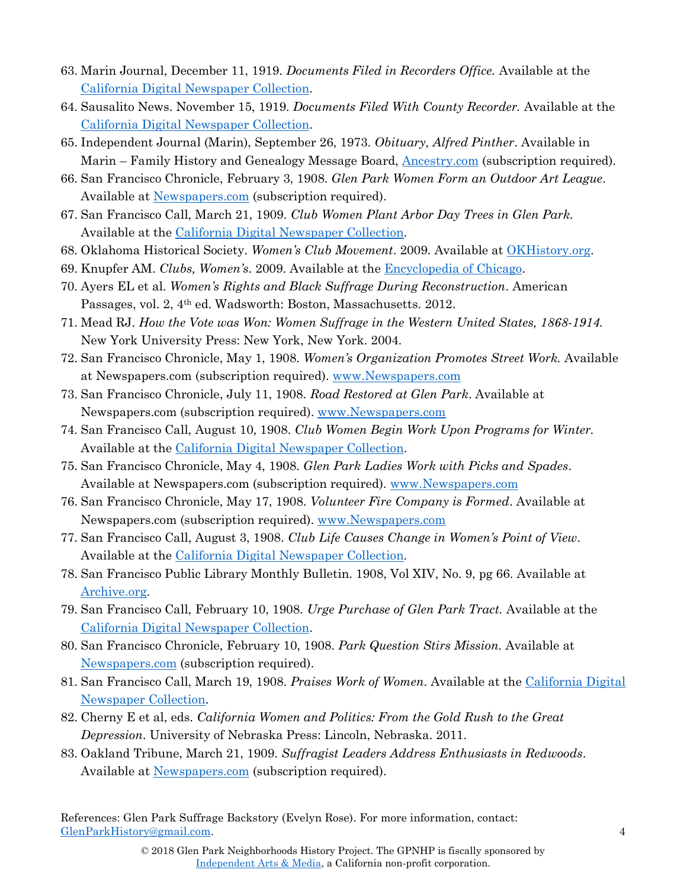- 63. Marin Journal, December 11, 1919. *Documents Filed in Recorders Office.* Available at the [California Digital Newspaper Collection.](https://cdnc.ucr.edu/cgi-bin/cdnc?a=d&d=MJ19191211&e=-------en--20--1--txt-txIN--------1)
- 64. Sausalito News. November 15, 1919. *Documents Filed With County Recorder.* Available at the [California Digital Newspaper Collection.](https://cdnc.ucr.edu/cgi-bin/cdnc?a=d&d=SN19191115&e=-------en--20--1--txt-txIN--------1)
- 65. Independent Journal (Marin), September 26, 1973. *Obituary, Alfred Pinther*. Available in Marin – Family History and Genealogy Message Board, **Ancestry.com** (subscription required).
- 66. San Francisco Chronicle, February 3, 1908. *Glen Park Women Form an Outdoor Art League*. Available at [Newspapers.com](file:///C:/Users/buffa/Downloads/www.Newspapers.com) (subscription required).
- 67. San Francisco Call, March 21, 1909. *Club Women Plant Arbor Day Trees in Glen Park.* Available at the [California Digital Newspaper Collection.](https://cdnc.ucr.edu/cgi-bin/cdnc?a=d&d=SFC19090321&e=-------en--20--1--txt-txIN--------1)
- 68. Oklahoma Historical Society. *Women's Club Movement*. 2009. Available at [OKHistory.org.](http://www.okhistory.org/publications/enc/entry.php?entry=WO002)
- 69. Knupfer AM. *Clubs, Women's*. 2009. Available at the [Encyclopedia of Chicago.](http://www.encyclopedia.chicagohistory.org/pages/306.html)
- 70. Ayers EL et al. *Women's Rights and Black Suffrage During Reconstruction*. American Passages, vol. 2, 4<sup>th</sup> ed. Wadsworth: Boston, Massachusetts. 2012.
- 71. Mead RJ. *How the Vote was Won: Women Suffrage in the Western United States, 1868-1914.*  New York University Press: New York, New York. 2004.
- 72. San Francisco Chronicle, May 1, 1908. *Women's Organization Promotes Street Work.* Available at Newspapers.com (subscription required). [www.Newspapers.com](http://www.newspapers.com/)
- 73. San Francisco Chronicle, July 11, 1908. *Road Restored at Glen Park*. Available at Newspapers.com (subscription required). [www.Newspapers.com](http://www.newspapers.com/)
- 74. San Francisco Call, August 10, 1908. *Club Women Begin Work Upon Programs for Winter.* Available at the [California Digital Newspaper Collection.](https://cdnc.ucr.edu/cgi-bin/cdnc?a=d&d=SFC19080810&e=------190-en--20--1-byDA-txt-txIN--------1)
- 75. San Francisco Chronicle, May 4, 1908. *Glen Park Ladies Work with Picks and Spades*. Available at Newspapers.com (subscription required). [www.Newspapers.com](http://www.newspapers.com/)
- 76. San Francisco Chronicle, May 17, 1908. *Volunteer Fire Company is Formed*. Available at Newspapers.com (subscription required). [www.Newspapers.com](http://www.newspapers.com/)
- 77. San Francisco Call, August 3, 1908. *Club Life Causes Change in Women's Point of View*. Available at the [California Digital Newspaper Collection.](https://cdnc.ucr.edu/cgi-bin/cdnc?a=d&d=SFC19080803&e=------190-en--20--1-byDA-txt-txIN)
- 78. San Francisco Public Library Monthly Bulletin. 1908, Vol XIV, No. 9, pg 66. Available at [Archive.org.](https://archive.org/stream/sanfranciscopubl1419sanf#page/66/mode/2up/search/%22glen%22)
- 79. San Francisco Call, February 10, 1908. *Urge Purchase of Glen Park Tract.* Available at the [California Digital Newspaper Collection.](https://cdnc.ucr.edu/cgi-bin/cdnc?a=d&d=SFC19080210&e=-------en--20--1--txt-txIN--------1)
- 80. San Francisco Chronicle, February 10, 1908. *Park Question Stirs Mission.* Available at [Newspapers.com](http://www.newspapers.com/) (subscription required).
- 81. San Francisco Call, March 19, 1908. *Praises Work of Women*. Available at the [California Digital](https://cdnc.ucr.edu/cgi-bin/cdnc?a=d&d=SFC19080319&e=-------en--20--1)  [Newspaper Collection.](https://cdnc.ucr.edu/cgi-bin/cdnc?a=d&d=SFC19080319&e=-------en--20--1)
- 82. Cherny E et al, eds. *California Women and Politics: From the Gold Rush to the Great Depression*. University of Nebraska Press: Lincoln, Nebraska. 2011.
- 83. Oakland Tribune, March 21, 1909. *Suffragist Leaders Address Enthusiasts in Redwoods*. Available at [Newspapers.com](http://www.newspapers.com/) (subscription required).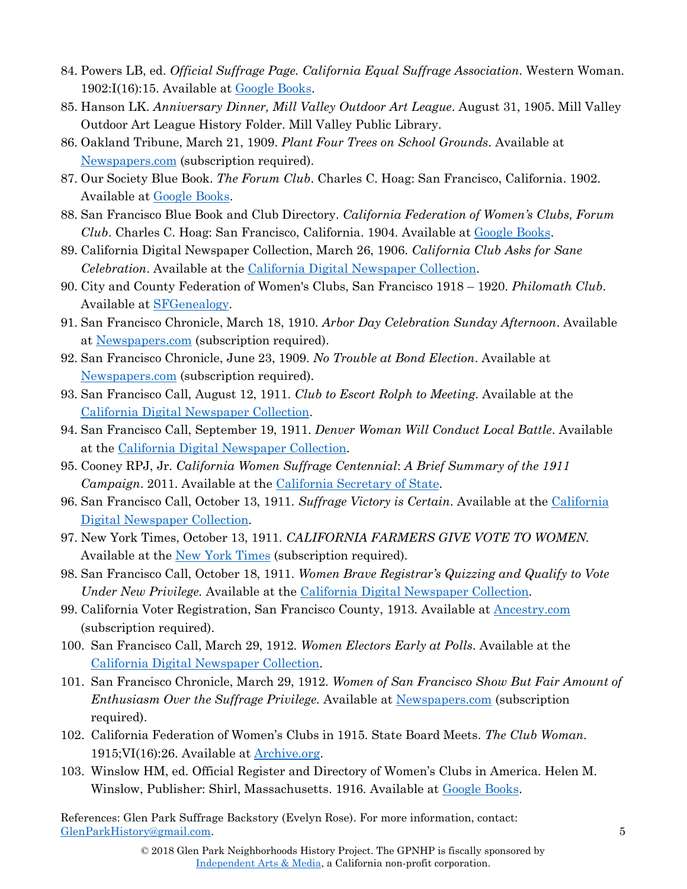- 84. Powers LB, ed. *Official Suffrage Page. California Equal Suffrage Association*. Western Woman. 1902:I(16):15. Available at [Google Books.](https://books.google.com/books?id=iIJIAAAAYAAJ&pg=PA89&lpg=PA89&dq=%22mrs.+mary+cullen%22+san+francisco&source=bl&ots=emeiLsJp3z&sig=-2RyEEeXuCFF0BwjqpBysAuefSI&hl=en&sa=X&ved=0ahUKEwjLgabqpLfYAhUpjFQKHQ80CvQQ6AEILzAB#v=onepage&q=cullen&f=false)
- 85. Hanson LK. *Anniversary Dinner, Mill Valley Outdoor Art League*. August 31, 1905. Mill Valley Outdoor Art League History Folder. Mill Valley Public Library.
- 86. Oakland Tribune, March 21, 1909. *Plant Four Trees on School Grounds*. Available at [Newspapers.com](http://www.newspapers.com/) (subscription required).
- 87. Our Society Blue Book. *The Forum Club*. Charles C. Hoag: San Francisco, California. 1902. Available at [Google Books.](https://books.google.com/books?id=Org1AAAAIAAJ&printsec=frontcover#v=onepage&q&f=false)
- 88. San Francisco Blue Book and Club Directory. *California Federation of Women's Clubs, Forum Club*. Charles C. Hoag: San Francisco, California. 1904. Available at [Google Books.](https://books.google.com/books?id=qrxLAQAAIAAJ&printsec=frontcover&source=gbs_ge_summary_r&cad=0#v=onepage&q&f=false)
- 89. California Digital Newspaper Collection, March 26, 1906. *California Club Asks for Sane Celebration*. Available at the [California Digital Newspaper Collection.](https://cdnc.ucr.edu/cgi-bin/cdnc?a=d&d=SFC19060326&e=-------en--20--1--txt-txIN--------1)
- 90. City and County Federation of Women's Clubs, San Francisco 1918 1920. *Philomath Club*. Available at [SFGenealogy.](http://www.sfgenealogy.com/sf/women/wczzh.htm)
- 91. San Francisco Chronicle, March 18, 1910. *Arbor Day Celebration Sunday Afternoon*. Available at [Newspapers.com](http://www.newspapers.com/) (subscription required).
- 92. San Francisco Chronicle, June 23, 1909. *No Trouble at Bond Election*. Available at [Newspapers.com](http://www.newspapers.com/) (subscription required).
- 93. San Francisco Call, August 12, 1911. *Club to Escort Rolph to Meeting*. Available at the [California Digital Newspaper Collection.](https://cdnc.ucr.edu/cgi-bin/cdnc?a=d&d=SFC19110812&e=-------en--20--1--txt-txIN--------1)
- 94. San Francisco Call, September 19, 1911. *Denver Woman Will Conduct Local Battle*. Available at the [California Digital Newspaper Collection.](https://cdnc.ucr.edu/cgi-bin/cdnc?a=d&d=SFC19110919&e=-------en--20--1--txt-txIN--------1)
- 95. Cooney RPJ, Jr. *California Women Suffrage Centennial*: *A Brief Summary of the 1911 Campaign*. 2011. Available at the [California Secretary of State.](http://www.sos.ca.gov/elections/celebrating-womens-suffrage/california-women-suffrage-centennial/)
- 96. San Francisco Call, October 13, 1911. *Suffrage Victory is Certain*. Available at the [California](https://cdnc.ucr.edu/cgi-bin/cdnc?a=d&d=SFC19111013&e=-------en--20--1--txt-txIN--------1)  [Digital Newspaper Collection.](https://cdnc.ucr.edu/cgi-bin/cdnc?a=d&d=SFC19111013&e=-------en--20--1--txt-txIN--------1)
- 97. New York Times, October 13, 1911. *CALIFORNIA FARMERS GIVE VOTE TO WOMEN.* Available at the [New York Times](http://www.nytimes.com/) (subscription required).
- 98. San Francisco Call, October 18, 1911. *Women Brave Registrar's Quizzing and Qualify to Vote Under New Privilege.* Available at the [California Digital Newspaper Collection.](https://cdnc.ucr.edu/cgi-bin/cdnc?a=d&d=SFC19111018&e=-------en--20--1--txt-txIN)
- 99. California Voter Registration, San Francisco County, 1913. Available at [Ancestry.com](http://www.ancestry.com/) (subscription required).
- 100. San Francisco Call, March 29, 1912. *Women Electors Early at Polls*. Available at the [California Digital Newspaper Collection.](https://cdnc.ucr.edu/cgi-bin/cdnc?a=d&d=SFC19120329&e=-------en--20--1--txt-txIN--------1)
- 101. San Francisco Chronicle, March 29, 1912. *Women of San Francisco Show But Fair Amount of Enthusiasm Over the Suffrage Privilege.* Available at [Newspapers.com](http://www.newspapers.com/) (subscription required).
- 102. California Federation of Women's Clubs in 1915. State Board Meets. *The Club Woman.*  1915;VI(16):26. Available at **Archive.org**.
- 103. Winslow HM, ed. Official Register and Directory of Women's Clubs in America. Helen M. Winslow, Publisher: Shirl, Massachusetts. 1916. Available at <u>Google Books</u>.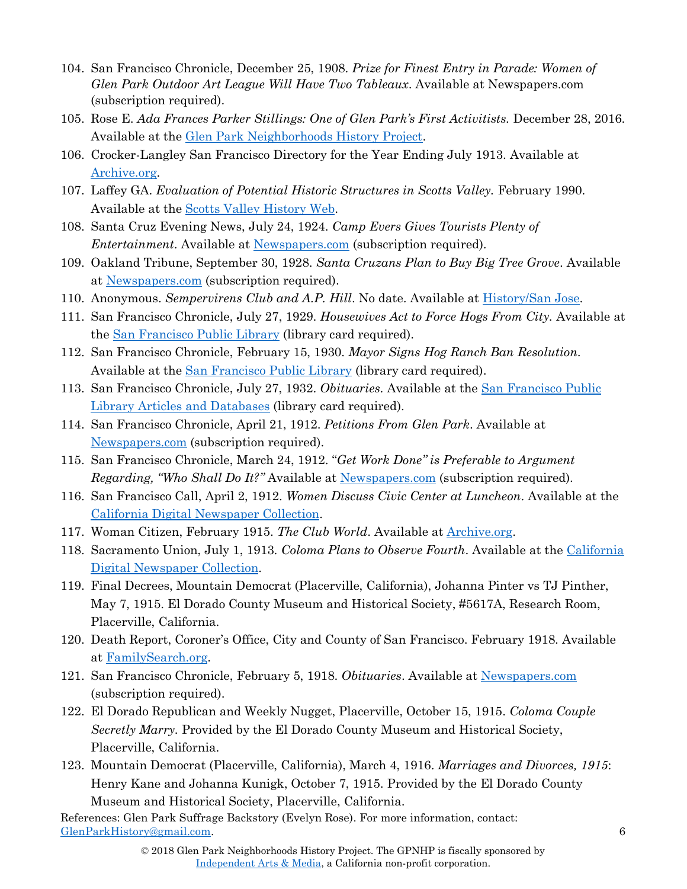- 104. San Francisco Chronicle, December 25, 1908. *Prize for Finest Entry in Parade: Women of Glen Park Outdoor Art League Will Have Two Tableaux*. Available at Newspapers.com (subscription required).
- 105. Rose E. *Ada Frances Parker Stillings: One of Glen Park's First Activitists.* December 28, 2016. Available at the [Glen Park Neighborhoods History Project.](http://glenparkhistory.wixsite.com/glenparkhistory/single-post/2016/12/28/Ada-Frances-Parker-Stillings-One-of-Glen-Parks-First-Civic-Activists)
- 106. Crocker-Langley San Francisco Directory for the Year Ending July 1913. Available at [Archive.org.](https://archive.org/details/crockerlangleysa1913sanfrich)
- 107. Laffey GA. *Evaluation of Potential Historic Structures in Scotts Valley.* February 1990. Available at the [Scotts Valley History Web.](http://history.scottsvalleychamber.com/history/page41/page41.htm)
- 108. Santa Cruz Evening News, July 24, 1924. *Camp Evers Gives Tourists Plenty of Entertainment*. Available at [Newspapers.com](http://www.newspapers.com/) (subscription required).
- 109. Oakland Tribune, September 30, 1928. *Santa Cruzans Plan to Buy Big Tree Grove*. Available at [Newspapers.com](http://www.newspapers.com/) (subscription required).
- 110. Anonymous. *Sempervirens Club and A.P. Hill*. No date. Available at [History/San Jose.](http://historysanjose.org/wp/research-collection/sempervirens-club-and-a-p-hill/)
- 111. San Francisco Chronicle, July 27, 1929. *Housewives Act to Force Hogs From City.* Available at the [San Francisco Public Library](http://www.sfpl.org/) (library card required).
- 112. San Francisco Chronicle, February 15, 1930. *Mayor Signs Hog Ranch Ban Resolution*. Available at the [San Francisco Public Library](http://www.sfpl.org/) (library card required).
- 113. San Francisco Chronicle, July 27, 1932. *Obituaries*. Available at the [San Francisco Public](https://sfpl.org/index.php?pg=2000028601&tab=alpha#/alpha/s)  [Library Articles and Databases](https://sfpl.org/index.php?pg=2000028601&tab=alpha#/alpha/s) (library card required).
- 114. San Francisco Chronicle, April 21, 1912. *Petitions From Glen Park*. Available at [Newspapers.com](http://www.newspapers.com/) (subscription required).
- 115. San Francisco Chronicle, March 24, 1912. "*Get Work Done" is Preferable to Argument Regarding, "Who Shall Do It?"* Available at [Newspapers.com](http://www.newspapers.com/) (subscription required).
- 116. San Francisco Call, April 2, 1912. *Women Discuss Civic Center at Luncheon*. Available at the [California Digital Newspaper Collection.](https://cdnc.ucr.edu/cgi-bin/cdnc?a=d&d=SFC19120402&e=-------en--20--1--txt-txIN)
- 117. Woman Citizen, February 1915. *The Club World*. Available at [Archive.org.](https://archive.org/stream/womencitizen1913unse#page/n463/mode/2up/search/pinther)
- 118. Sacramento Union, July 1, 1913. *Coloma Plans to Observe Fourth*. Available at the [California](https://cdnc.ucr.edu/cgi-bin/cdnc?a=d&d=SU19130701&e=-------en--20--1-byDA-txt-txIN)  [Digital Newspaper Collection.](https://cdnc.ucr.edu/cgi-bin/cdnc?a=d&d=SU19130701&e=-------en--20--1-byDA-txt-txIN)
- 119. Final Decrees, Mountain Democrat (Placerville, California), Johanna Pinter vs TJ Pinther, May 7, 1915. El Dorado County Museum and Historical Society, #5617A, Research Room, Placerville, California.
- 120. Death Report, Coroner's Office, City and County of San Francisco. February 1918. Available at [FamilySearch.org.](https://www.familysearch.org/ark:/61903/3:1:33SQ-G5NJ-Y86?i=51&cc=1402856)
- 121. San Francisco Chronicle, February 5, 1918. *Obituaries*. Available at [Newspapers.com](http://www.newspapers.com/) (subscription required).
- 122. El Dorado Republican and Weekly Nugget, Placerville, October 15, 1915. *Coloma Couple Secretly Marry.* Provided by the El Dorado County Museum and Historical Society, Placerville, California.
- 123. Mountain Democrat (Placerville, California), March 4, 1916. *Marriages and Divorces, 1915*: Henry Kane and Johanna Kunigk, October 7, 1915. Provided by the El Dorado County Museum and Historical Society, Placerville, California.